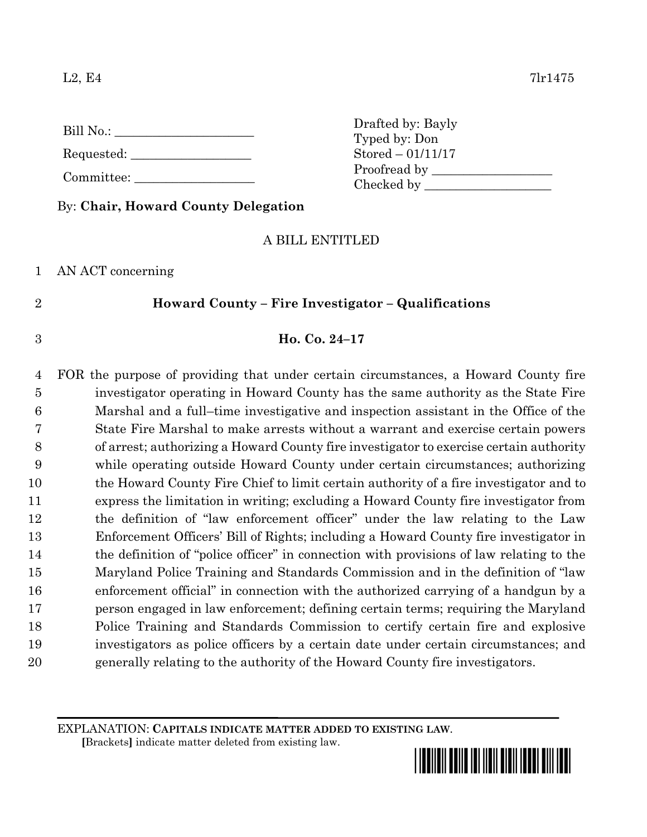L2, E4 7lr1475

| Bill No.: |  |  |
|-----------|--|--|
|           |  |  |

Requested:

Committee:

By: **Chair, Howard County Delegation**

# A BILL ENTITLED

1 AN ACT concerning

# 2 **Howard County – Fire Investigator – Qualifications**

# 3 **Ho. Co. 24–17**

 FOR the purpose of providing that under certain circumstances, a Howard County fire investigator operating in Howard County has the same authority as the State Fire Marshal and a full–time investigative and inspection assistant in the Office of the State Fire Marshal to make arrests without a warrant and exercise certain powers of arrest; authorizing a Howard County fire investigator to exercise certain authority while operating outside Howard County under certain circumstances; authorizing the Howard County Fire Chief to limit certain authority of a fire investigator and to express the limitation in writing; excluding a Howard County fire investigator from the definition of "law enforcement officer" under the law relating to the Law Enforcement Officers' Bill of Rights; including a Howard County fire investigator in 14 the definition of "police officer" in connection with provisions of law relating to the Maryland Police Training and Standards Commission and in the definition of "law enforcement official" in connection with the authorized carrying of a handgun by a person engaged in law enforcement; defining certain terms; requiring the Maryland Police Training and Standards Commission to certify certain fire and explosive investigators as police officers by a certain date under certain circumstances; and generally relating to the authority of the Howard County fire investigators.

EXPLANATION: **CAPITALS INDICATE MATTER ADDED TO EXISTING LAW**.

 **[**Brackets**]** indicate matter deleted from existing law.



Drafted by: Bayly Typed by: Don Stored – 01/11/17 Proofread by Checked by \_\_\_\_\_\_\_\_\_\_\_\_\_\_\_\_\_\_\_\_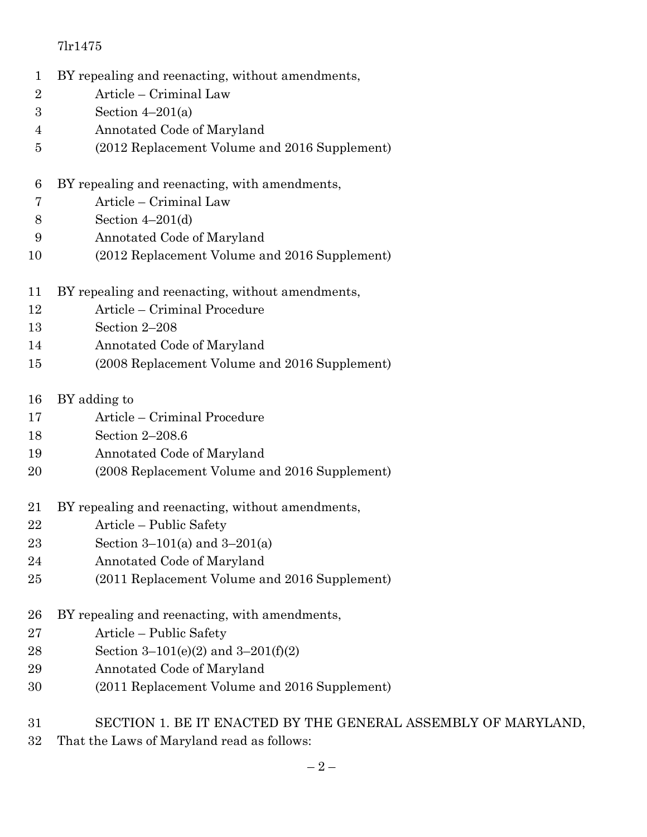- BY repealing and reenacting, without amendments,
- Article Criminal Law
- Section 4–201(a)
- Annotated Code of Maryland
- (2012 Replacement Volume and 2016 Supplement)
- BY repealing and reenacting, with amendments,
- Article Criminal Law
- Section 4–201(d)
- Annotated Code of Maryland
- (2012 Replacement Volume and 2016 Supplement)
- BY repealing and reenacting, without amendments,
- Article Criminal Procedure
- Section 2–208
- Annotated Code of Maryland
- (2008 Replacement Volume and 2016 Supplement)
- BY adding to
- Article Criminal Procedure
- Section 2–208.6
- Annotated Code of Maryland
- (2008 Replacement Volume and 2016 Supplement)
- BY repealing and reenacting, without amendments,
- Article Public Safety
- Section 3–101(a) and 3–201(a)
- Annotated Code of Maryland
- (2011 Replacement Volume and 2016 Supplement)
- BY repealing and reenacting, with amendments,
- Article Public Safety
- Section 3–101(e)(2) and 3–201(f)(2)
- Annotated Code of Maryland
- (2011 Replacement Volume and 2016 Supplement)
- SECTION 1. BE IT ENACTED BY THE GENERAL ASSEMBLY OF MARYLAND,
- That the Laws of Maryland read as follows: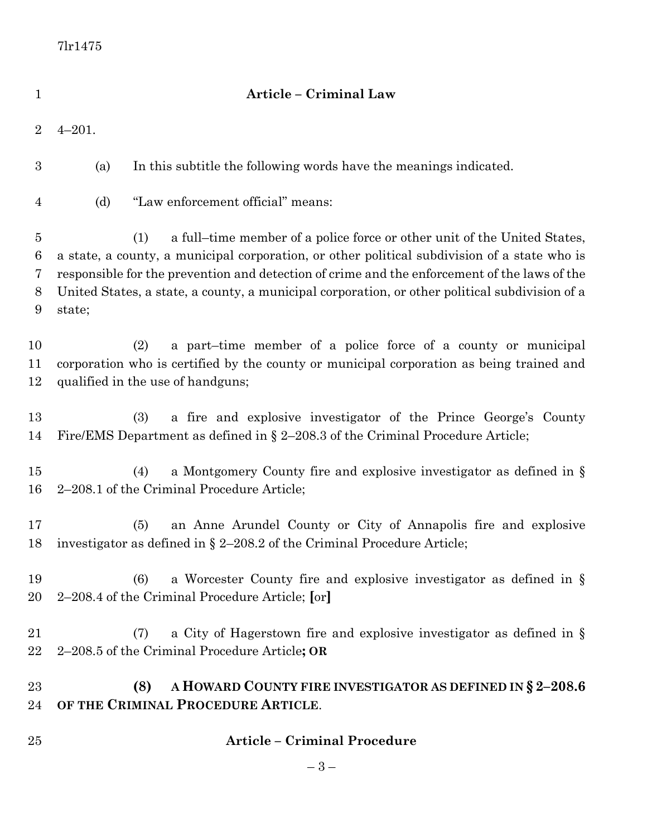| $\mathbf 1$                        |            | Article - Criminal Law                                                                                                                                                                                                                                                                                                                                                            |
|------------------------------------|------------|-----------------------------------------------------------------------------------------------------------------------------------------------------------------------------------------------------------------------------------------------------------------------------------------------------------------------------------------------------------------------------------|
| $\overline{2}$                     | $4 - 201.$ |                                                                                                                                                                                                                                                                                                                                                                                   |
| $\boldsymbol{3}$                   | (a)        | In this subtitle the following words have the meanings indicated.                                                                                                                                                                                                                                                                                                                 |
| $\overline{4}$                     | (d)        | "Law enforcement official" means:                                                                                                                                                                                                                                                                                                                                                 |
| $\overline{5}$<br>6<br>7<br>8<br>9 | state;     | a full-time member of a police force or other unit of the United States,<br>(1)<br>a state, a county, a municipal corporation, or other political subdivision of a state who is<br>responsible for the prevention and detection of crime and the enforcement of the laws of the<br>United States, a state, a county, a municipal corporation, or other political subdivision of a |
| 10<br>11<br>12                     |            | a part-time member of a police force of a county or municipal<br>(2)<br>corporation who is certified by the county or municipal corporation as being trained and<br>qualified in the use of handguns;                                                                                                                                                                             |
| 13<br>14                           |            | a fire and explosive investigator of the Prince George's County<br>(3)<br>Fire/EMS Department as defined in $\S 2-208.3$ of the Criminal Procedure Article;                                                                                                                                                                                                                       |
| 15<br>16                           |            | (4)<br>a Montgomery County fire and explosive investigator as defined in $\S$<br>2–208.1 of the Criminal Procedure Article;                                                                                                                                                                                                                                                       |
| 17<br>18                           |            | an Anne Arundel County or City of Annapolis fire and explosive<br>(5)<br>investigator as defined in $\S 2-208.2$ of the Criminal Procedure Article;                                                                                                                                                                                                                               |
| 19<br>20                           |            | a Worcester County fire and explosive investigator as defined in $\S$<br>(6)<br>2–208.4 of the Criminal Procedure Article; [or]                                                                                                                                                                                                                                                   |
| 21<br>22                           |            | a City of Hagerstown fire and explosive investigator as defined in $\S$<br>(7)<br>2-208.5 of the Criminal Procedure Article; OR                                                                                                                                                                                                                                                   |
| 23<br>24                           |            | A HOWARD COUNTY FIRE INVESTIGATOR AS DEFINED IN $\S 2-208.6$<br>(8)<br>OF THE CRIMINAL PROCEDURE ARTICLE.                                                                                                                                                                                                                                                                         |
| 25                                 |            | <b>Article - Criminal Procedure</b>                                                                                                                                                                                                                                                                                                                                               |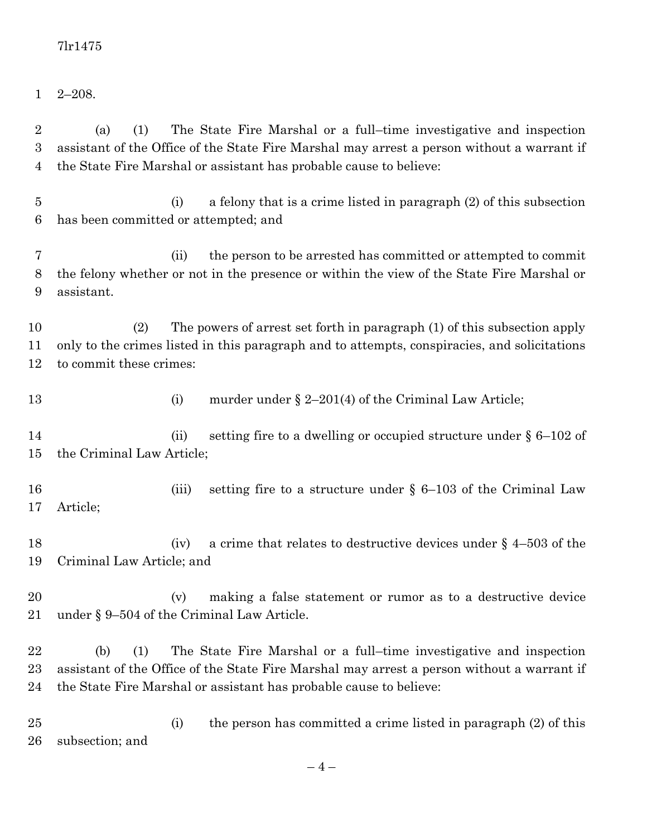2–208.

 $-4-$  the State Fire Marshal or assistant has probable cause to believe: (i) a felony that is a crime listed in paragraph (2) of this subsection has been committed or attempted; and (ii) the person to be arrested has committed or attempted to commit the felony whether or not in the presence or within the view of the State Fire Marshal or assistant. (2) The powers of arrest set forth in paragraph (1) of this subsection apply only to the crimes listed in this paragraph and to attempts, conspiracies, and solicitations to commit these crimes: 13 (i) murder under § 2–201(4) of the Criminal Law Article; 14 (ii) setting fire to a dwelling or occupied structure under § 6–102 of the Criminal Law Article; 16 (iii) setting fire to a structure under § 6–103 of the Criminal Law Article; 18 (iv) a crime that relates to destructive devices under § 4–503 of the Criminal Law Article; and (v) making a false statement or rumor as to a destructive device under § 9–504 of the Criminal Law Article. (b) (1) The State Fire Marshal or a full–time investigative and inspection assistant of the Office of the State Fire Marshal may arrest a person without a warrant if the State Fire Marshal or assistant has probable cause to believe: (i) the person has committed a crime listed in paragraph (2) of this subsection; and

 (a) (1) The State Fire Marshal or a full–time investigative and inspection assistant of the Office of the State Fire Marshal may arrest a person without a warrant if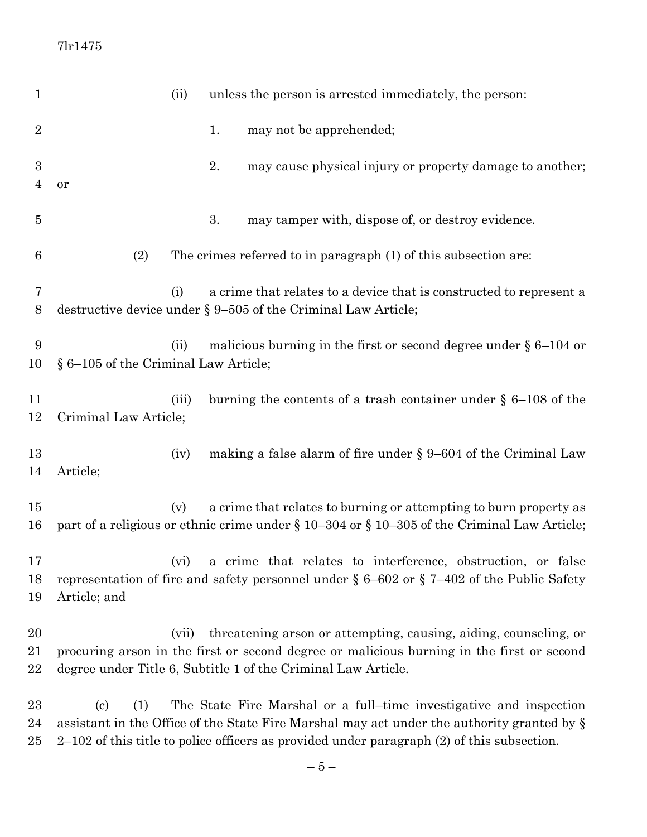| $\mathbf{1}$           |                                      | (ii)  | unless the person is arrested immediately, the person:                                                                                                                                                                                                                |
|------------------------|--------------------------------------|-------|-----------------------------------------------------------------------------------------------------------------------------------------------------------------------------------------------------------------------------------------------------------------------|
| $\overline{2}$         |                                      |       | may not be apprehended;<br>1.                                                                                                                                                                                                                                         |
| 3<br>$\overline{4}$    | or                                   |       | 2.<br>may cause physical injury or property damage to another;                                                                                                                                                                                                        |
| $\overline{5}$         |                                      |       | 3.<br>may tamper with, dispose of, or destroy evidence.                                                                                                                                                                                                               |
| 6                      | (2)                                  |       | The crimes referred to in paragraph (1) of this subsection are:                                                                                                                                                                                                       |
| 7<br>8                 |                                      | (i)   | a crime that relates to a device that is constructed to represent a<br>destructive device under $\S 9-505$ of the Criminal Law Article;                                                                                                                               |
| 9<br>10                | § 6-105 of the Criminal Law Article; | (ii)  | malicious burning in the first or second degree under $\S 6$ –104 or                                                                                                                                                                                                  |
| 11<br>12               | Criminal Law Article;                | (iii) | burning the contents of a trash container under $\S$ 6–108 of the                                                                                                                                                                                                     |
| 13<br>14               | Article;                             | (iv)  | making a false alarm of fire under $\S 9-604$ of the Criminal Law                                                                                                                                                                                                     |
| 15<br>16               |                                      | (v)   | a crime that relates to burning or attempting to burn property as<br>part of a religious or ethnic crime under § 10-304 or § 10-305 of the Criminal Law Article;                                                                                                      |
| 17<br>18<br>19         | Article; and                         | (vi)  | a crime that relates to interference, obstruction, or false<br>representation of fire and safety personnel under $\S 6-602$ or $\S 7-402$ of the Public Safety                                                                                                        |
| 20<br>21<br>22         |                                      | (vii) | threatening arson or attempting, causing, aiding, counseling, or<br>procuring arson in the first or second degree or malicious burning in the first or second<br>degree under Title 6, Subtitle 1 of the Criminal Law Article.                                        |
| $23\,$<br>24<br>$25\,$ | (c)<br>(1)                           |       | The State Fire Marshal or a full-time investigative and inspection<br>assistant in the Office of the State Fire Marshal may act under the authority granted by $\S$<br>$2-102$ of this title to police officers as provided under paragraph $(2)$ of this subsection. |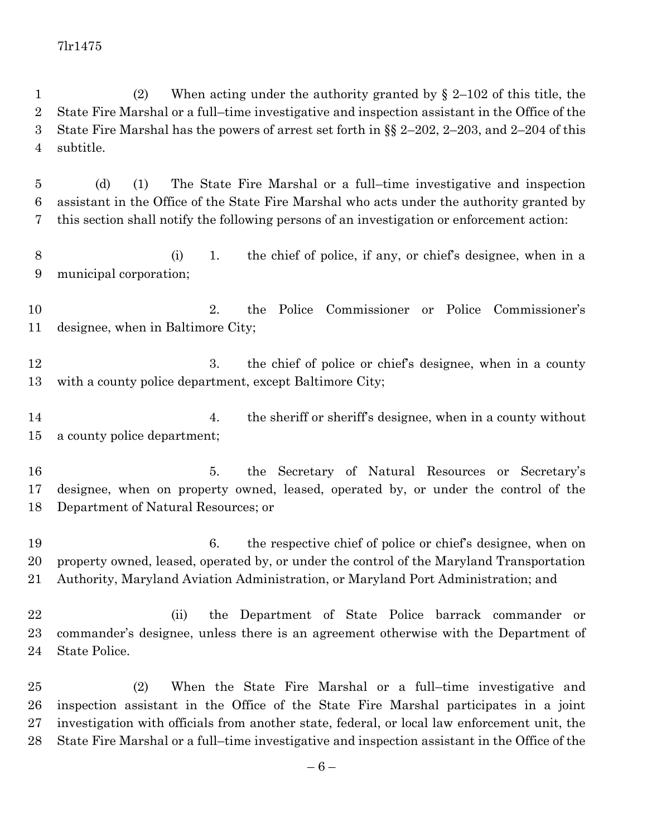(2) When acting under the authority granted by § 2–102 of this title, the State Fire Marshal or a full–time investigative and inspection assistant in the Office of the State Fire Marshal has the powers of arrest set forth in §§ 2–202, 2–203, and 2–204 of this subtitle.

 (d) (1) The State Fire Marshal or a full–time investigative and inspection assistant in the Office of the State Fire Marshal who acts under the authority granted by this section shall notify the following persons of an investigation or enforcement action:

 (i) 1. the chief of police, if any, or chief's designee, when in a municipal corporation;

 2. the Police Commissioner or Police Commissioner's designee, when in Baltimore City;

12 3. the chief of police or chief's designee, when in a county with a county police department, except Baltimore City;

14 14 14 14 14 the sheriff or sheriff's designee, when in a county without a county police department;

 5. the Secretary of Natural Resources or Secretary's designee, when on property owned, leased, operated by, or under the control of the Department of Natural Resources; or

 6. the respective chief of police or chief's designee, when on property owned, leased, operated by, or under the control of the Maryland Transportation Authority, Maryland Aviation Administration, or Maryland Port Administration; and

 (ii) the Department of State Police barrack commander or commander's designee, unless there is an agreement otherwise with the Department of State Police.

 (2) When the State Fire Marshal or a full–time investigative and inspection assistant in the Office of the State Fire Marshal participates in a joint investigation with officials from another state, federal, or local law enforcement unit, the State Fire Marshal or a full–time investigative and inspection assistant in the Office of the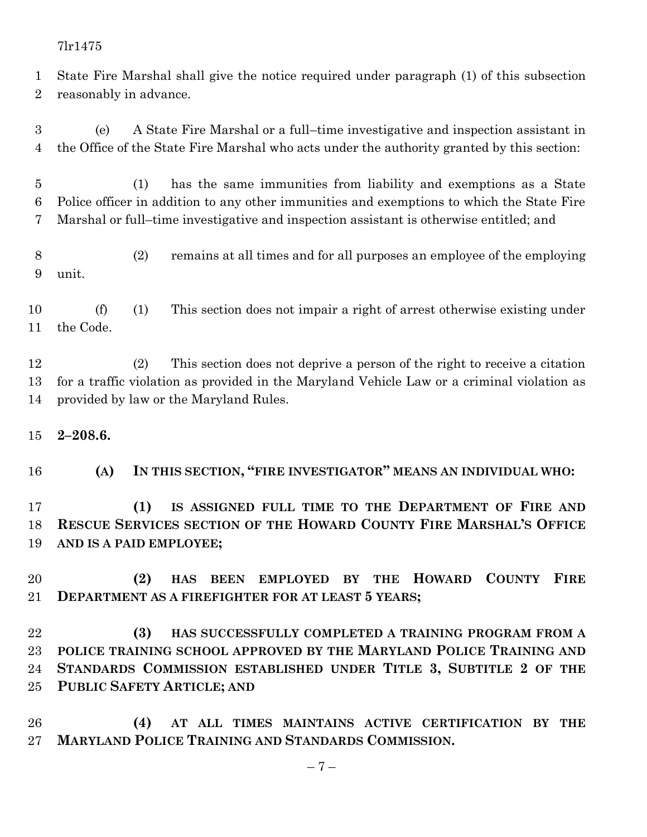State Fire Marshal shall give the notice required under paragraph (1) of this subsection reasonably in advance.

 (e) A State Fire Marshal or a full–time investigative and inspection assistant in the Office of the State Fire Marshal who acts under the authority granted by this section:

 (1) has the same immunities from liability and exemptions as a State Police officer in addition to any other immunities and exemptions to which the State Fire Marshal or full–time investigative and inspection assistant is otherwise entitled; and

 (2) remains at all times and for all purposes an employee of the employing unit.

 (f) (1) This section does not impair a right of arrest otherwise existing under the Code.

 (2) This section does not deprive a person of the right to receive a citation for a traffic violation as provided in the Maryland Vehicle Law or a criminal violation as provided by law or the Maryland Rules.

#### **2–208.6.**

**(A) IN THIS SECTION, "FIRE INVESTIGATOR" MEANS AN INDIVIDUAL WHO:**

 **(1) IS ASSIGNED FULL TIME TO THE DEPARTMENT OF FIRE AND RESCUE SERVICES SECTION OF THE HOWARD COUNTY FIRE MARSHAL'S OFFICE AND IS A PAID EMPLOYEE;**

 **(2) HAS BEEN EMPLOYED BY THE HOWARD COUNTY FIRE DEPARTMENT AS A FIREFIGHTER FOR AT LEAST 5 YEARS;**

 **(3) HAS SUCCESSFULLY COMPLETED A TRAINING PROGRAM FROM A POLICE TRAINING SCHOOL APPROVED BY THE MARYLAND POLICE TRAINING AND STANDARDS COMMISSION ESTABLISHED UNDER TITLE 3, SUBTITLE 2 OF THE PUBLIC SAFETY ARTICLE; AND**

 **(4) AT ALL TIMES MAINTAINS ACTIVE CERTIFICATION BY THE MARYLAND POLICE TRAINING AND STANDARDS COMMISSION.**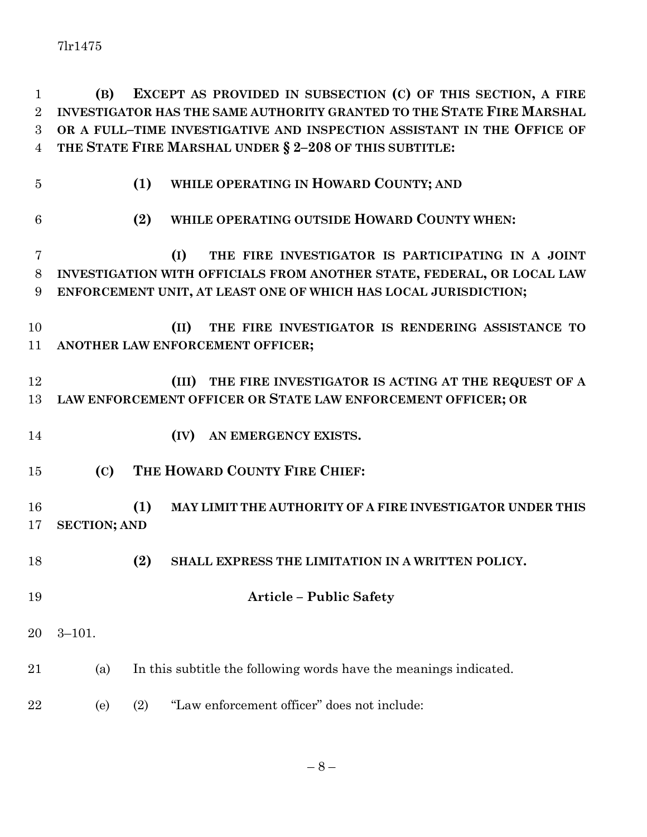**(B) EXCEPT AS PROVIDED IN SUBSECTION (C) OF THIS SECTION, A FIRE INVESTIGATOR HAS THE SAME AUTHORITY GRANTED TO THE STATE FIRE MARSHAL OR A FULL–TIME INVESTIGATIVE AND INSPECTION ASSISTANT IN THE OFFICE OF THE STATE FIRE MARSHAL UNDER § 2–208 OF THIS SUBTITLE:**

| $\overline{5}$ | (1)<br>WHILE OPERATING IN HOWARD COUNTY; AND                                                                                              |
|----------------|-------------------------------------------------------------------------------------------------------------------------------------------|
| 6              | WHILE OPERATING OUTSIDE HOWARD COUNTY WHEN:<br>(2)                                                                                        |
| 7              | (I)<br>THE FIRE INVESTIGATOR IS PARTICIPATING IN A JOINT                                                                                  |
| 8<br>9         | INVESTIGATION WITH OFFICIALS FROM ANOTHER STATE, FEDERAL, OR LOCAL LAW<br>ENFORCEMENT UNIT, AT LEAST ONE OF WHICH HAS LOCAL JURISDICTION; |
| 10<br>11       | (II)<br>THE FIRE INVESTIGATOR IS RENDERING ASSISTANCE TO<br>ANOTHER LAW ENFORCEMENT OFFICER;                                              |
| 12<br>13       | THE FIRE INVESTIGATOR IS ACTING AT THE REQUEST OF A<br>(III)<br>LAW ENFORCEMENT OFFICER OR STATE LAW ENFORCEMENT OFFICER; OR              |
| 14             | (IV)<br>AN EMERGENCY EXISTS.                                                                                                              |
| 15             | THE HOWARD COUNTY FIRE CHIEF:<br>(C)                                                                                                      |
| 16<br>17       | (1)<br>MAY LIMIT THE AUTHORITY OF A FIRE INVESTIGATOR UNDER THIS<br><b>SECTION; AND</b>                                                   |
| 18             | (2)<br>SHALL EXPRESS THE LIMITATION IN A WRITTEN POLICY.                                                                                  |
| 19             | <b>Article - Public Safety</b>                                                                                                            |
| 20             | $3 - 101.$                                                                                                                                |
| 21             | In this subtitle the following words have the meanings indicated.<br>(a)                                                                  |
| 22             | "Law enforcement officer" does not include:<br>(2)<br>(e)                                                                                 |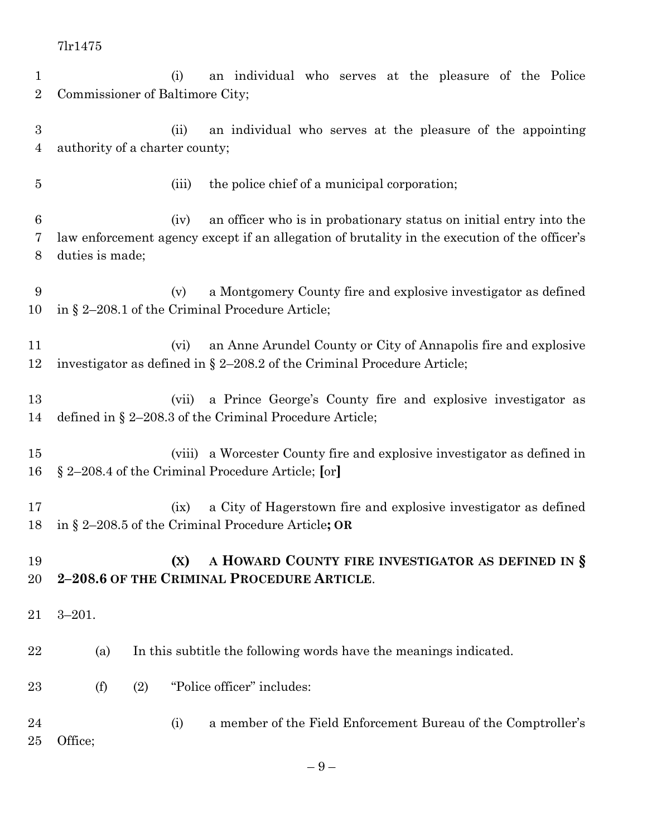| $\mathbf 1$      | an individual who serves at the pleasure of the Police<br>(i)                                                                 |
|------------------|-------------------------------------------------------------------------------------------------------------------------------|
| $\overline{2}$   | Commissioner of Baltimore City;                                                                                               |
|                  |                                                                                                                               |
| $\boldsymbol{3}$ | (ii)<br>an individual who serves at the pleasure of the appointing                                                            |
| 4                | authority of a charter county;                                                                                                |
| $\overline{5}$   | the police chief of a municipal corporation;<br>(iii)                                                                         |
| $6\phantom{.}6$  | an officer who is in probationary status on initial entry into the<br>(iv)                                                    |
| 7                | law enforcement agency except if an allegation of brutality in the execution of the officer's                                 |
| 8                | duties is made;                                                                                                               |
| 9                | a Montgomery County fire and explosive investigator as defined<br>(v)                                                         |
| 10               | in § 2-208.1 of the Criminal Procedure Article;                                                                               |
|                  |                                                                                                                               |
| 11               | an Anne Arundel County or City of Annapolis fire and explosive<br>(vi)                                                        |
| 12               | investigator as defined in $\S 2-208.2$ of the Criminal Procedure Article;                                                    |
| 13               | a Prince George's County fire and explosive investigator as<br>(vii)                                                          |
| 14               | defined in $\S 2-208.3$ of the Criminal Procedure Article;                                                                    |
|                  |                                                                                                                               |
| 15               | (viii) a Worcester County fire and explosive investigator as defined in                                                       |
| 16               | § 2-208.4 of the Criminal Procedure Article; [or]                                                                             |
|                  |                                                                                                                               |
| 17<br>18         | a City of Hagerstown fire and explosive investigator as defined<br>(ix)<br>in § 2-208.5 of the Criminal Procedure Article; OR |
|                  |                                                                                                                               |
| 19               | A HOWARD COUNTY FIRE INVESTIGATOR AS DEFINED IN §<br>(X)                                                                      |
| 20               | 2-208.6 OF THE CRIMINAL PROCEDURE ARTICLE.                                                                                    |
|                  |                                                                                                                               |
| 21               | $3 - 201.$                                                                                                                    |
| 22               |                                                                                                                               |
|                  | In this subtitle the following words have the meanings indicated.<br>(a)                                                      |
| 23               | "Police officer" includes:<br>(f)<br>(2)                                                                                      |
| 24               | a member of the Field Enforcement Bureau of the Comptroller's<br>(i)                                                          |
| 25               | Office;                                                                                                                       |
|                  |                                                                                                                               |